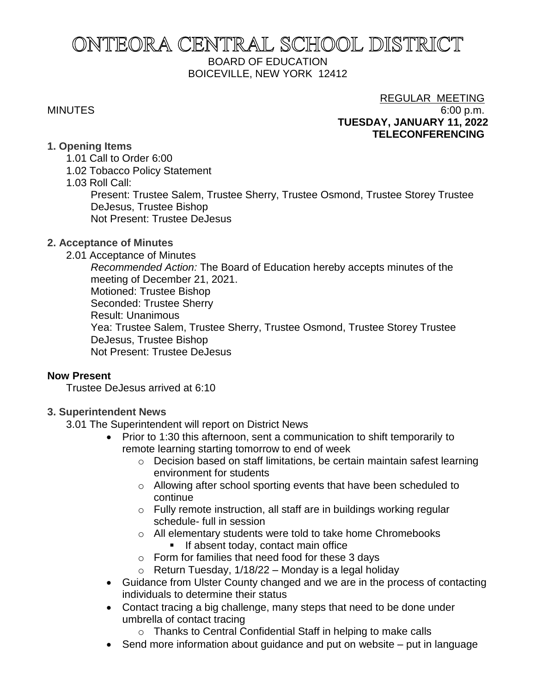# ONTEORA CENTRAL SCHOOL DISTRICT BOARD OF EDUCATION BOICEVILLE, NEW YORK 12412

## REGULAR MEETING MINUTES 6:00 p.m. **TUESDAY, JANUARY 11, 2022 TELECONFERENCING**

## **1. Opening Items**

- 1.01 Call to Order 6:00
- 1.02 Tobacco Policy Statement
- 1.03 Roll Call:

Present: Trustee Salem, Trustee Sherry, Trustee Osmond, Trustee Storey Trustee DeJesus, Trustee Bishop

Not Present: Trustee DeJesus

## **2. Acceptance of Minutes**

2.01 Acceptance of Minutes

*Recommended Action:* The Board of Education hereby accepts minutes of the meeting of December 21, 2021.

Motioned: Trustee Bishop

Seconded: Trustee Sherry

Result: Unanimous

Yea: Trustee Salem, Trustee Sherry, Trustee Osmond, Trustee Storey Trustee DeJesus, Trustee Bishop

Not Present: Trustee DeJesus

## **Now Present**

Trustee DeJesus arrived at 6:10

## **3. Superintendent News**

3.01 The Superintendent will report on District News

- Prior to 1:30 this afternoon, sent a communication to shift temporarily to remote learning starting tomorrow to end of week
	- o Decision based on staff limitations, be certain maintain safest learning environment for students
	- o Allowing after school sporting events that have been scheduled to continue
	- o Fully remote instruction, all staff are in buildings working regular schedule- full in session
	- o All elementary students were told to take home Chromebooks
		- **■** If absent today, contact main office
	- o Form for families that need food for these 3 days
	- $\circ$  Return Tuesday, 1/18/22 Monday is a legal holiday
- Guidance from Ulster County changed and we are in the process of contacting individuals to determine their status
- Contact tracing a big challenge, many steps that need to be done under umbrella of contact tracing
	- o Thanks to Central Confidential Staff in helping to make calls
- Send more information about quidance and put on website put in language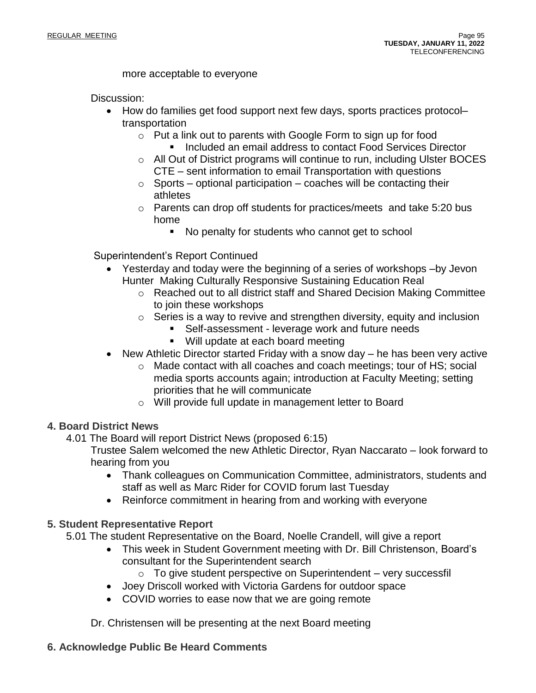## more acceptable to everyone

Discussion:

- How do families get food support next few days, sports practices protocol– transportation
	- o Put a link out to parents with Google Form to sign up for food
		- Included an email address to contact Food Services Director
	- o All Out of District programs will continue to run, including Ulster BOCES CTE – sent information to email Transportation with questions
	- $\circ$  Sports optional participation coaches will be contacting their athletes
	- $\circ$  Parents can drop off students for practices/meets and take 5:20 bus home
		- No penalty for students who cannot get to school

Superintendent's Report Continued

- Yesterday and today were the beginning of a series of workshops –by Jevon Hunter Making Culturally Responsive Sustaining Education Real
	- o Reached out to all district staff and Shared Decision Making Committee to join these workshops
	- $\circ$  Series is a way to revive and strengthen diversity, equity and inclusion
		- Self-assessment leverage work and future needs
			- Will update at each board meeting
- New Athletic Director started Friday with a snow day he has been very active
	- o Made contact with all coaches and coach meetings; tour of HS; social media sports accounts again; introduction at Faculty Meeting; setting priorities that he will communicate
	- o Will provide full update in management letter to Board

## **4. Board District News**

4.01 The Board will report District News (proposed 6:15)

Trustee Salem welcomed the new Athletic Director, Ryan Naccarato – look forward to hearing from you

- Thank colleagues on Communication Committee, administrators, students and staff as well as Marc Rider for COVID forum last Tuesday
- Reinforce commitment in hearing from and working with everyone

## **5. Student Representative Report**

5.01 The student Representative on the Board, Noelle Crandell, will give a report

- This week in Student Government meeting with Dr. Bill Christenson, Board's consultant for the Superintendent search
	- $\circ$  To give student perspective on Superintendent very successfil
- Joey Driscoll worked with Victoria Gardens for outdoor space
- COVID worries to ease now that we are going remote

Dr. Christensen will be presenting at the next Board meeting

## **6. Acknowledge Public Be Heard Comments**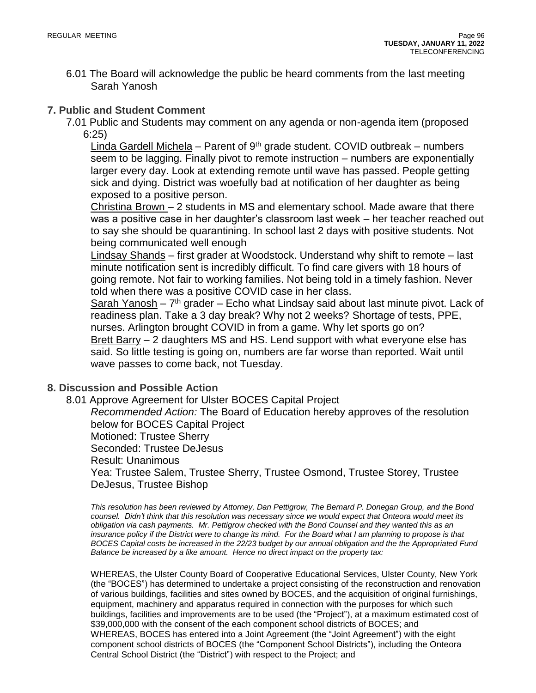6.01 The Board will acknowledge the public be heard comments from the last meeting Sarah Yanosh

## **7. Public and Student Comment**

7.01 Public and Students may comment on any agenda or non-agenda item (proposed 6:25)

Linda Gardell Michela – Parent of  $9<sup>th</sup>$  grade student. COVID outbreak – numbers seem to be lagging. Finally pivot to remote instruction – numbers are exponentially larger every day. Look at extending remote until wave has passed. People getting sick and dying. District was woefully bad at notification of her daughter as being exposed to a positive person.

Christina Brown – 2 students in MS and elementary school. Made aware that there was a positive case in her daughter's classroom last week – her teacher reached out to say she should be quarantining. In school last 2 days with positive students. Not being communicated well enough

Lindsay Shands – first grader at Woodstock. Understand why shift to remote – last minute notification sent is incredibly difficult. To find care givers with 18 hours of going remote. Not fair to working families. Not being told in a timely fashion. Never told when there was a positive COVID case in her class.

Sarah Yanosh - 7<sup>th</sup> grader - Echo what Lindsay said about last minute pivot. Lack of readiness plan. Take a 3 day break? Why not 2 weeks? Shortage of tests, PPE, nurses. Arlington brought COVID in from a game. Why let sports go on? Brett Barry – 2 daughters MS and HS. Lend support with what everyone else has said. So little testing is going on, numbers are far worse than reported. Wait until wave passes to come back, not Tuesday.

## **8. Discussion and Possible Action**

8.01 Approve Agreement for Ulster BOCES Capital Project *Recommended Action:* The Board of Education hereby approves of the resolution below for BOCES Capital Project Motioned: Trustee Sherry Seconded: Trustee DeJesus Result: Unanimous Yea: Trustee Salem, Trustee Sherry, Trustee Osmond, Trustee Storey, Trustee DeJesus, Trustee Bishop

*This resolution has been reviewed by Attorney, Dan Pettigrow, The Bernard P. Donegan Group, and the Bond* counsel. Didn't think that this resolution was necessary since we would expect that Onteora would meet its *obligation via cash payments. Mr. Pettigrow checked with the Bond Counsel and they wanted this as an* insurance policy if the District were to change its mind. For the Board what I am planning to propose is that BOCES Capital costs be increased in the 22/23 budget by our annual obligation and the the Appropriated Fund *Balance be increased by a like amount. Hence no direct impact on the property tax:*

WHEREAS, the Ulster County Board of Cooperative Educational Services, Ulster County, New York (the "BOCES") has determined to undertake a project consisting of the reconstruction and renovation of various buildings, facilities and sites owned by BOCES, and the acquisition of original furnishings, equipment, machinery and apparatus required in connection with the purposes for which such buildings, facilities and improvements are to be used (the "Project"), at a maximum estimated cost of \$39,000,000 with the consent of the each component school districts of BOCES; and WHEREAS, BOCES has entered into a Joint Agreement (the "Joint Agreement") with the eight component school districts of BOCES (the "Component School Districts"), including the Onteora Central School District (the "District") with respect to the Project; and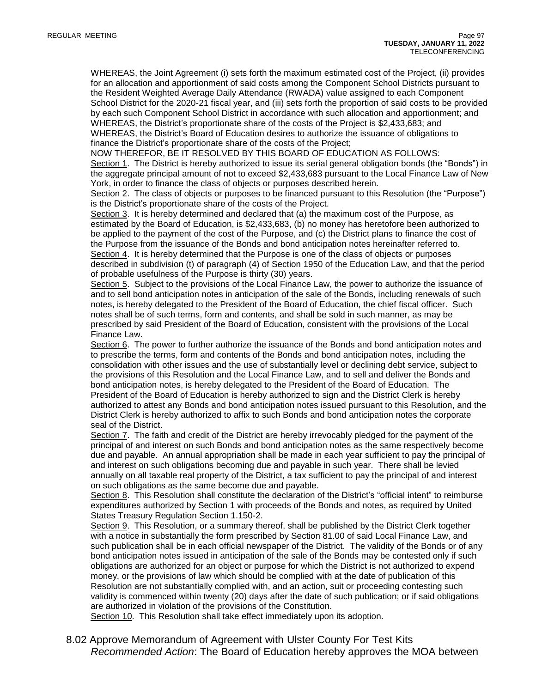WHEREAS, the Joint Agreement (i) sets forth the maximum estimated cost of the Project, (ii) provides for an allocation and apportionment of said costs among the Component School Districts pursuant to the Resident Weighted Average Daily Attendance (RWADA) value assigned to each Component School District for the 2020-21 fiscal year, and (iii) sets forth the proportion of said costs to be provided by each such Component School District in accordance with such allocation and apportionment; and WHEREAS, the District's proportionate share of the costs of the Project is \$2,433,683; and WHEREAS, the District's Board of Education desires to authorize the issuance of obligations to finance the District's proportionate share of the costs of the Project;

NOW THEREFOR, BE IT RESOLVED BY THIS BOARD OF EDUCATION AS FOLLOWS:

Section 1. The District is hereby authorized to issue its serial general obligation bonds (the "Bonds") in the aggregate principal amount of not to exceed \$2,433,683 pursuant to the Local Finance Law of New York, in order to finance the class of objects or purposes described herein.

Section 2. The class of objects or purposes to be financed pursuant to this Resolution (the "Purpose") is the District's proportionate share of the costs of the Project.

Section 3. It is hereby determined and declared that (a) the maximum cost of the Purpose, as estimated by the Board of Education, is \$2,433,683, (b) no money has heretofore been authorized to be applied to the payment of the cost of the Purpose, and (c) the District plans to finance the cost of the Purpose from the issuance of the Bonds and bond anticipation notes hereinafter referred to. Section 4. It is hereby determined that the Purpose is one of the class of objects or purposes described in subdivision (t) of paragraph (4) of Section 1950 of the Education Law, and that the period of probable usefulness of the Purpose is thirty (30) years.

Section 5. Subject to the provisions of the Local Finance Law, the power to authorize the issuance of and to sell bond anticipation notes in anticipation of the sale of the Bonds, including renewals of such notes, is hereby delegated to the President of the Board of Education, the chief fiscal officer. Such notes shall be of such terms, form and contents, and shall be sold in such manner, as may be prescribed by said President of the Board of Education, consistent with the provisions of the Local Finance Law.

Section 6. The power to further authorize the issuance of the Bonds and bond anticipation notes and to prescribe the terms, form and contents of the Bonds and bond anticipation notes, including the consolidation with other issues and the use of substantially level or declining debt service, subject to the provisions of this Resolution and the Local Finance Law, and to sell and deliver the Bonds and bond anticipation notes, is hereby delegated to the President of the Board of Education. The President of the Board of Education is hereby authorized to sign and the District Clerk is hereby authorized to attest any Bonds and bond anticipation notes issued pursuant to this Resolution, and the District Clerk is hereby authorized to affix to such Bonds and bond anticipation notes the corporate seal of the District.

Section 7. The faith and credit of the District are hereby irrevocably pledged for the payment of the principal of and interest on such Bonds and bond anticipation notes as the same respectively become due and payable. An annual appropriation shall be made in each year sufficient to pay the principal of and interest on such obligations becoming due and payable in such year. There shall be levied annually on all taxable real property of the District, a tax sufficient to pay the principal of and interest on such obligations as the same become due and payable.

Section 8. This Resolution shall constitute the declaration of the District's "official intent" to reimburse expenditures authorized by Section 1 with proceeds of the Bonds and notes, as required by United States Treasury Regulation Section 1.150-2.

Section 9. This Resolution, or a summary thereof, shall be published by the District Clerk together with a notice in substantially the form prescribed by Section 81.00 of said Local Finance Law, and such publication shall be in each official newspaper of the District. The validity of the Bonds or of any bond anticipation notes issued in anticipation of the sale of the Bonds may be contested only if such obligations are authorized for an object or purpose for which the District is not authorized to expend money, or the provisions of law which should be complied with at the date of publication of this Resolution are not substantially complied with, and an action, suit or proceeding contesting such validity is commenced within twenty (20) days after the date of such publication; or if said obligations are authorized in violation of the provisions of the Constitution.

Section 10. This Resolution shall take effect immediately upon its adoption.

8.02 Approve Memorandum of Agreement with Ulster County For Test Kits *Recommended Action*: The Board of Education hereby approves the MOA between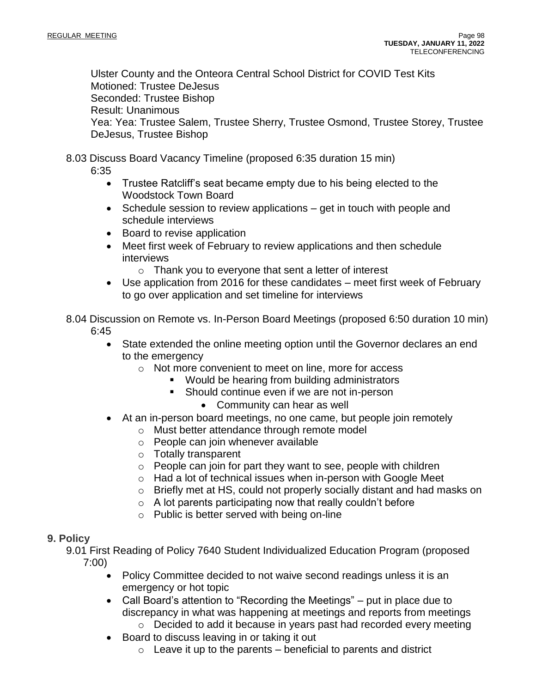Ulster County and the Onteora Central School District for COVID Test Kits Motioned: Trustee DeJesus Seconded: Trustee Bishop Result: Unanimous Yea: Yea: Trustee Salem, Trustee Sherry, Trustee Osmond, Trustee Storey, Trustee DeJesus, Trustee Bishop

8.03 Discuss Board Vacancy Timeline (proposed 6:35 duration 15 min)

6:35

- Trustee Ratcliff's seat became empty due to his being elected to the Woodstock Town Board
- Schedule session to review applications get in touch with people and schedule interviews
- Board to revise application
- Meet first week of February to review applications and then schedule interviews
	- o Thank you to everyone that sent a letter of interest
- Use application from 2016 for these candidates meet first week of February to go over application and set timeline for interviews

8.04 Discussion on Remote vs. In-Person Board Meetings (proposed 6:50 duration 10 min) 6:45

- State extended the online meeting option until the Governor declares an end to the emergency
	- o Not more convenient to meet on line, more for access
		- Would be hearing from building administrators
		- Should continue even if we are not in-person
			- Community can hear as well
- At an in-person board meetings, no one came, but people join remotely
	- o Must better attendance through remote model
	- o People can join whenever available
	- o Totally transparent
	- o People can join for part they want to see, people with children
	- o Had a lot of technical issues when in-person with Google Meet
	- o Briefly met at HS, could not properly socially distant and had masks on
	- $\circ$  A lot parents participating now that really couldn't before
	- o Public is better served with being on-line

## **9. Policy**

9.01 First Reading of Policy 7640 Student Individualized Education Program (proposed 7:00)

- Policy Committee decided to not waive second readings unless it is an emergency or hot topic
- Call Board's attention to "Recording the Meetings" put in place due to discrepancy in what was happening at meetings and reports from meetings
	- o Decided to add it because in years past had recorded every meeting
- Board to discuss leaving in or taking it out
	- $\circ$  Leave it up to the parents beneficial to parents and district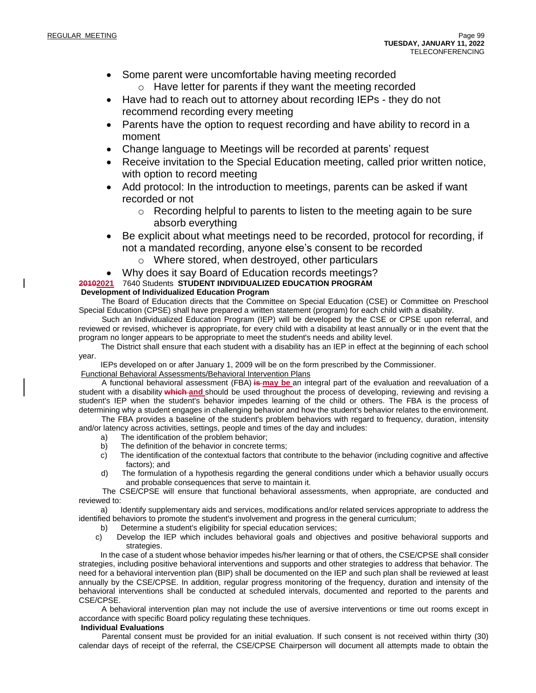- Some parent were uncomfortable having meeting recorded
	- o Have letter for parents if they want the meeting recorded
- Have had to reach out to attorney about recording IEPs they do not recommend recording every meeting
- Parents have the option to request recording and have ability to record in a moment
- Change language to Meetings will be recorded at parents' request
- Receive invitation to the Special Education meeting, called prior written notice, with option to record meeting
- Add protocol: In the introduction to meetings, parents can be asked if want recorded or not
	- o Recording helpful to parents to listen to the meeting again to be sure absorb everything
- Be explicit about what meetings need to be recorded, protocol for recording, if not a mandated recording, anyone else's consent to be recorded
	- o Where stored, when destroyed, other particulars

## • Why does it say Board of Education records meetings?

## **20102021** 7640 Students **STUDENT INDIVIDUALIZED EDUCATION PROGRAM**

#### **Development of Individualized Education Program**

 The Board of Education directs that the Committee on Special Education (CSE) or Committee on Preschool Special Education (CPSE) shall have prepared a written statement (program) for each child with a disability.

 Such an Individualized Education Program (IEP) will be developed by the CSE or CPSE upon referral, and reviewed or revised, whichever is appropriate, for every child with a disability at least annually or in the event that the program no longer appears to be appropriate to meet the student's needs and ability level.

 The District shall ensure that each student with a disability has an IEP in effect at the beginning of each school year.

IEPs developed on or after January 1, 2009 will be on the form prescribed by the Commissioner.

Functional Behavioral Assessments/Behavioral Intervention Plans

 A functional behavioral assessment (FBA) **is may be** an integral part of the evaluation and reevaluation of a student with a disability **which and** should be used throughout the process of developing, reviewing and revising a student's IEP when the student's behavior impedes learning of the child or others. The FBA is the process of determining why a student engages in challenging behavior and how the student's behavior relates to the environment.

 The FBA provides a baseline of the student's problem behaviors with regard to frequency, duration, intensity and/or latency across activities, settings, people and times of the day and includes:

- a) The identification of the problem behavior;
- b) The definition of the behavior in concrete terms;
- c) The identification of the contextual factors that contribute to the behavior (including cognitive and affective factors); and
- d) The formulation of a hypothesis regarding the general conditions under which a behavior usually occurs and probable consequences that serve to maintain it.

 The CSE/CPSE will ensure that functional behavioral assessments, when appropriate, are conducted and reviewed to:

 a) Identify supplementary aids and services, modifications and/or related services appropriate to address the identified behaviors to promote the student's involvement and progress in the general curriculum;

- b) Determine a student's eligibility for special education services;
- c) Develop the IEP which includes behavioral goals and objectives and positive behavioral supports and strategies.

 In the case of a student whose behavior impedes his/her learning or that of others, the CSE/CPSE shall consider strategies, including positive behavioral interventions and supports and other strategies to address that behavior. The need for a behavioral intervention plan (BIP) shall be documented on the IEP and such plan shall be reviewed at least annually by the CSE/CPSE. In addition, regular progress monitoring of the frequency, duration and intensity of the behavioral interventions shall be conducted at scheduled intervals, documented and reported to the parents and CSE/CPSE.

 A behavioral intervention plan may not include the use of aversive interventions or time out rooms except in accordance with specific Board policy regulating these techniques.

#### **Individual Evaluations**

 Parental consent must be provided for an initial evaluation. If such consent is not received within thirty (30) calendar days of receipt of the referral, the CSE/CPSE Chairperson will document all attempts made to obtain the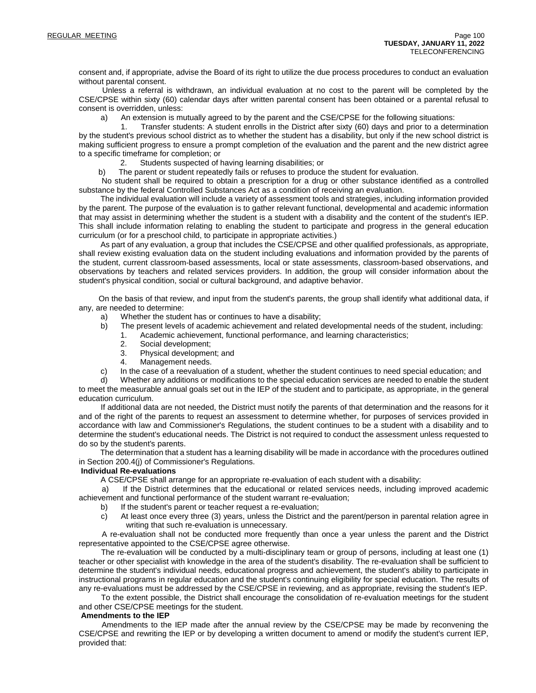consent and, if appropriate, advise the Board of its right to utilize the due process procedures to conduct an evaluation without parental consent.

 Unless a referral is withdrawn, an individual evaluation at no cost to the parent will be completed by the CSE/CPSE within sixty (60) calendar days after written parental consent has been obtained or a parental refusal to consent is overridden, unless:

a) An extension is mutually agreed to by the parent and the CSE/CPSE for the following situations:

 1. Transfer students: A student enrolls in the District after sixty (60) days and prior to a determination by the student's previous school district as to whether the student has a disability, but only if the new school district is making sufficient progress to ensure a prompt completion of the evaluation and the parent and the new district agree to a specific timeframe for completion; or

2. Students suspected of having learning disabilities; or

b) The parent or student repeatedly fails or refuses to produce the student for evaluation.

 No student shall be required to obtain a prescription for a drug or other substance identified as a controlled substance by the federal Controlled Substances Act as a condition of receiving an evaluation.

 The individual evaluation will include a variety of assessment tools and strategies, including information provided by the parent. The purpose of the evaluation is to gather relevant functional, developmental and academic information that may assist in determining whether the student is a student with a disability and the content of the student's IEP. This shall include information relating to enabling the student to participate and progress in the general education curriculum (or for a preschool child, to participate in appropriate activities.)

 As part of any evaluation, a group that includes the CSE/CPSE and other qualified professionals, as appropriate, shall review existing evaluation data on the student including evaluations and information provided by the parents of the student, current classroom-based assessments, local or state assessments, classroom-based observations, and observations by teachers and related services providers. In addition, the group will consider information about the student's physical condition, social or cultural background, and adaptive behavior.

 On the basis of that review, and input from the student's parents, the group shall identify what additional data, if any, are needed to determine:

- a) Whether the student has or continues to have a disability;
- b) The present levels of academic achievement and related developmental needs of the student, including:
	- 1. Academic achievement, functional performance, and learning characteristics;
	- 2. Social development;
	- 3. Physical development; and
	- 4. Management needs.
- c) In the case of a reevaluation of a student, whether the student continues to need special education; and

 d) Whether any additions or modifications to the special education services are needed to enable the student to meet the measurable annual goals set out in the IEP of the student and to participate, as appropriate, in the general education curriculum.

 If additional data are not needed, the District must notify the parents of that determination and the reasons for it and of the right of the parents to request an assessment to determine whether, for purposes of services provided in accordance with law and Commissioner's Regulations, the student continues to be a student with a disability and to determine the student's educational needs. The District is not required to conduct the assessment unless requested to do so by the student's parents.

 The determination that a student has a learning disability will be made in accordance with the procedures outlined in Section 200.4(j) of Commissioner's Regulations.

#### **Individual Re-evaluations**

A CSE/CPSE shall arrange for an appropriate re-evaluation of each student with a disability:

 a) If the District determines that the educational or related services needs, including improved academic achievement and functional performance of the student warrant re-evaluation;

- b) If the student's parent or teacher request a re-evaluation;
- c) At least once every three (3) years, unless the District and the parent/person in parental relation agree in writing that such re-evaluation is unnecessary.

 A re-evaluation shall not be conducted more frequently than once a year unless the parent and the District representative appointed to the CSE/CPSE agree otherwise.

 The re-evaluation will be conducted by a multi-disciplinary team or group of persons, including at least one (1) teacher or other specialist with knowledge in the area of the student's disability. The re-evaluation shall be sufficient to determine the student's individual needs, educational progress and achievement, the student's ability to participate in instructional programs in regular education and the student's continuing eligibility for special education. The results of any re-evaluations must be addressed by the CSE/CPSE in reviewing, and as appropriate, revising the student's IEP.

 To the extent possible, the District shall encourage the consolidation of re-evaluation meetings for the student and other CSE/CPSE meetings for the student.

#### **Amendments to the IEP**

 Amendments to the IEP made after the annual review by the CSE/CPSE may be made by reconvening the CSE/CPSE and rewriting the IEP or by developing a written document to amend or modify the student's current IEP, provided that: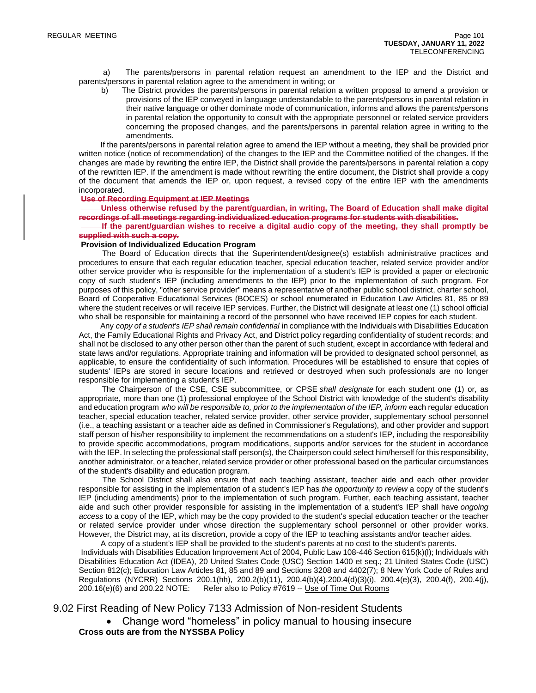a) The parents/persons in parental relation request an amendment to the IEP and the District and parents/persons in parental relation agree to the amendment in writing; or

 b) The District provides the parents/persons in parental relation a written proposal to amend a provision or provisions of the IEP conveyed in language understandable to the parents/persons in parental relation in their native language or other dominate mode of communication, informs and allows the parents/persons in parental relation the opportunity to consult with the appropriate personnel or related service providers concerning the proposed changes, and the parents/persons in parental relation agree in writing to the amendments.

 If the parents/persons in parental relation agree to amend the IEP without a meeting, they shall be provided prior written notice (notice of recommendation) of the changes to the IEP and the Committee notified of the changes. If the changes are made by rewriting the entire IEP, the District shall provide the parents/persons in parental relation a copy of the rewritten IEP. If the amendment is made without rewriting the entire document, the District shall provide a copy of the document that amends the IEP or, upon request, a revised copy of the entire IEP with the amendments incorporated.

#### **Use of Recording Equipment at IEP Meetings**

 **Unless otherwise refused by the parent/guardian, in writing, The Board of Education shall make digital recordings of all meetings regarding individualized education programs for students with disabilities.**

 **If the parent/guardian wishes to receive a digital audio copy of the meeting, they shall promptly be supplied with such a copy.**

#### **Provision of Individualized Education Program**

 The Board of Education directs that the Superintendent/designee(s) establish administrative practices and procedures to ensure that each regular education teacher, special education teacher, related service provider and/or other service provider who is responsible for the implementation of a student's IEP is provided a paper or electronic copy of such student's IEP (including amendments to the IEP) prior to the implementation of such program. For purposes of this policy, "other service provider" means a representative of another public school district, charter school, Board of Cooperative Educational Services (BOCES) or school enumerated in Education Law Articles 81, 85 or 89 where the student receives or will receive IEP services. Further, the District will designate at least one (1) school official who shall be responsible for maintaining a record of the personnel who have received IEP copies for each student.

 Any *copy of a student's IEP shall remain confidential* in compliance with the Individuals with Disabilities Education Act, the Family Educational Rights and Privacy Act, and District policy regarding confidentiality of student records; and shall not be disclosed to any other person other than the parent of such student, except in accordance with federal and state laws and/or regulations. Appropriate training and information will be provided to designated school personnel, as applicable, to ensure the confidentiality of such information. Procedures will be established to ensure that copies of students' IEPs are stored in secure locations and retrieved or destroyed when such professionals are no longer responsible for implementing a student's IEP.

 The Chairperson of the CSE, CSE subcommittee, or CPSE *shall designate* for each student one (1) or, as appropriate, more than one (1) professional employee of the School District with knowledge of the student's disability and education program *who will be responsible to, prior to the implementation of the IEP, inform* each regular education teacher, special education teacher, related service provider, other service provider, supplementary school personnel (i.e., a teaching assistant or a teacher aide as defined in Commissioner's Regulations), and other provider and support staff person of his/her responsibility to implement the recommendations on a student's IEP, including the responsibility to provide specific accommodations, program modifications, supports and/or services for the student in accordance with the IEP. In selecting the professional staff person(s), the Chairperson could select him/herself for this responsibility, another administrator, or a teacher, related service provider or other professional based on the particular circumstances of the student's disability and education program.

 The School District shall also ensure that each teaching assistant, teacher aide and each other provider responsible for assisting in the implementation of a student's IEP has *the opportunity to review* a copy of the student's IEP (including amendments) prior to the implementation of such program. Further, each teaching assistant, teacher aide and such other provider responsible for assisting in the implementation of a student's IEP shall have *ongoing access* to a copy of the IEP, which may be the copy provided to the student's special education teacher or the teacher or related service provider under whose direction the supplementary school personnel or other provider works. However, the District may, at its discretion, provide a copy of the IEP to teaching assistants and/or teacher aides.

 A copy of a student's IEP shall be provided to the student's parents at no cost to the student's parents. Individuals with Disabilities Education Improvement Act of 2004, Public Law 108-446 Section 615(k)(l); Individuals with Disabilities Education Act (IDEA), 20 United States Code (USC) Section 1400 et seq.; 21 United States Code (USC) Section 812(c); Education Law Articles 81, 85 and 89 and Sections 3208 and 4402(7); 8 New York Code of Rules and Regulations (NYCRR) Sections 200.1(hh), 200.2(b)(11), 200.4(b)(4),200.4(d)(3)(i), 200.4(e)(3), 200.4(f), 200.4(j), 200.16(e)(6) and 200.22 NOTE: Refer also to Policy #7619 -- Use of Time Out Rooms

9.02 First Reading of New Policy 7133 Admission of Non-resident Students

• Change word "homeless" in policy manual to housing insecure **Cross outs are from the NYSSBA Policy**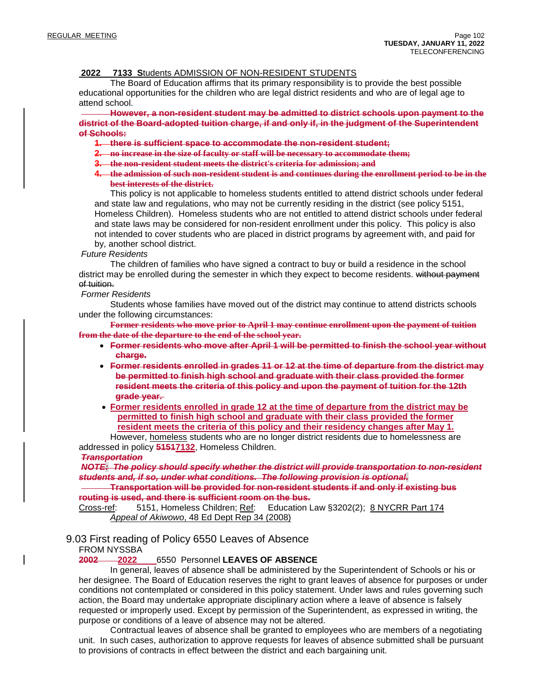#### **2022 7133 S**tudents ADMISSION OF NON-RESIDENT STUDENTS

 The Board of Education affirms that its primary responsibility is to provide the best possible educational opportunities for the children who are legal district residents and who are of legal age to attend school.

 **However, a non-resident student may be admitted to district schools upon payment to the district of the Board-adopted tuition charge, if and only if, in the judgment of the Superintendent of Schools:**

- **1. there is sufficient space to accommodate the non-resident student;**
- **2. no increase in the size of faculty or staff will be necessary to accommodate them;**
- **3. the non-resident student meets the district's criteria for admission; and**
- 4. the admission of such non-resident student is and continues during the enrollment period to be in the **best interests of the district.**

This policy is not applicable to homeless students entitled to attend district schools under federal and state law and regulations, who may not be currently residing in the district (see policy 5151, Homeless Children). Homeless students who are not entitled to attend district schools under federal and state laws may be considered for non-resident enrollment under this policy. This policy is also not intended to cover students who are placed in district programs by agreement with, and paid for by, another school district.

*Future Residents*

 The children of families who have signed a contract to buy or build a residence in the school district may be enrolled during the semester in which they expect to become residents. without payment of tuition.

#### *Former Residents*

Students whose families have moved out of the district may continue to attend districts schools under the following circumstances:

**Former residents who move prior to April 1 may continue enrollment upon the payment of tuition from the date of the departure to the end of the school year.**

- **Former residents who move after April 1 will be permitted to finish the school year without charge.**
- **Former residents enrolled in grades 11 or 12 at the time of departure from the district may be permitted to finish high school and graduate with their class provided the former resident meets the criteria of this policy and upon the payment of tuition for the 12th grade year.**
- **Former residents enrolled in grade 12 at the time of departure from the district may be permitted to finish high school and graduate with their class provided the former resident meets the criteria of this policy and their residency changes after May 1.**

However, homeless students who are no longer district residents due to homelessness are addressed in policy **51517132**, Homeless Children.

#### *Transportation*

*NOTE: The policy should specify whether the district will provide transportation to non-resident students and, if so, under what conditions. The following provision is optional.*

 **Transportation will be provided for non-resident students if and only if existing bus routing is used, and there is sufficient room on the bus.**

Cross-ref: 5151, Homeless Children; Ref: Education Law §3202(2); 8 NYCRR Part 174 *Appeal of Akiwowo*, 48 Ed Dept Rep 34 (2008)

## 9.03 First reading of Policy 6550 Leaves of Absence

#### FROM NYSSBA

#### **2002 2022** 6550 Personnel **LEAVES OF ABSENCE**

 In general, leaves of absence shall be administered by the Superintendent of Schools or his or her designee. The Board of Education reserves the right to grant leaves of absence for purposes or under conditions not contemplated or considered in this policy statement. Under laws and rules governing such action, the Board may undertake appropriate disciplinary action where a leave of absence is falsely requested or improperly used. Except by permission of the Superintendent, as expressed in writing, the purpose or conditions of a leave of absence may not be altered.

 Contractual leaves of absence shall be granted to employees who are members of a negotiating unit. In such cases, authorization to approve requests for leaves of absence submitted shall be pursuant to provisions of contracts in effect between the district and each bargaining unit.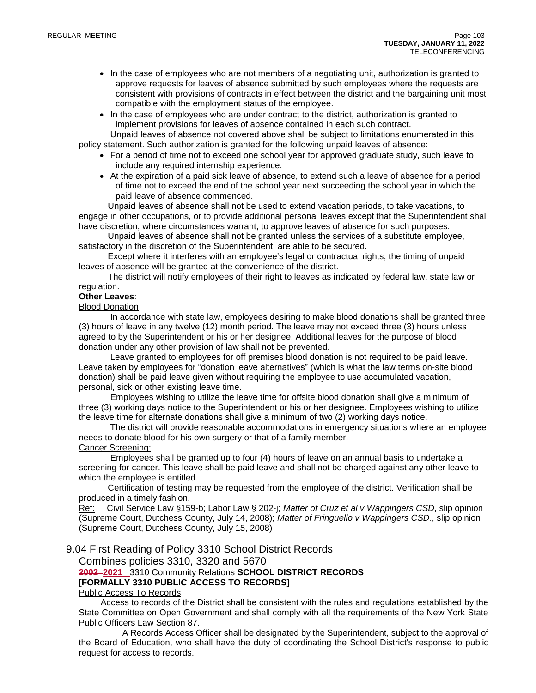- In the case of employees who are not members of a negotiating unit, authorization is granted to approve requests for leaves of absence submitted by such employees where the requests are consistent with provisions of contracts in effect between the district and the bargaining unit most compatible with the employment status of the employee.
- In the case of employees who are under contract to the district, authorization is granted to implement provisions for leaves of absence contained in each such contract.

 Unpaid leaves of absence not covered above shall be subject to limitations enumerated in this policy statement. Such authorization is granted for the following unpaid leaves of absence:

- For a period of time not to exceed one school year for approved graduate study, such leave to include any required internship experience.
- At the expiration of a paid sick leave of absence, to extend such a leave of absence for a period of time not to exceed the end of the school year next succeeding the school year in which the paid leave of absence commenced.

 Unpaid leaves of absence shall not be used to extend vacation periods, to take vacations, to engage in other occupations, or to provide additional personal leaves except that the Superintendent shall have discretion, where circumstances warrant, to approve leaves of absence for such purposes.

 Unpaid leaves of absence shall not be granted unless the services of a substitute employee, satisfactory in the discretion of the Superintendent, are able to be secured.

 Except where it interferes with an employee's legal or contractual rights, the timing of unpaid leaves of absence will be granted at the convenience of the district.

 The district will notify employees of their right to leaves as indicated by federal law, state law or regulation.

#### **Other Leaves**:

Blood Donation

In accordance with state law, employees desiring to make blood donations shall be granted three (3) hours of leave in any twelve (12) month period. The leave may not exceed three (3) hours unless agreed to by the Superintendent or his or her designee. Additional leaves for the purpose of blood donation under any other provision of law shall not be prevented.

Leave granted to employees for off premises blood donation is not required to be paid leave. Leave taken by employees for "donation leave alternatives" (which is what the law terms on-site blood donation) shall be paid leave given without requiring the employee to use accumulated vacation, personal, sick or other existing leave time.

Employees wishing to utilize the leave time for offsite blood donation shall give a minimum of three (3) working days notice to the Superintendent or his or her designee. Employees wishing to utilize the leave time for alternate donations shall give a minimum of two (2) working days notice.

The district will provide reasonable accommodations in emergency situations where an employee needs to donate blood for his own surgery or that of a family member. Cancer Screening:

Employees shall be granted up to four (4) hours of leave on an annual basis to undertake a screening for cancer. This leave shall be paid leave and shall not be charged against any other leave to which the employee is entitled.

 Certification of testing may be requested from the employee of the district. Verification shall be produced in a timely fashion.

Ref: Civil Service Law §159-b; Labor Law § 202-j; *Matter of Cruz et al v Wappingers CSD*, slip opinion (Supreme Court, Dutchess County, July 14, 2008); *Matter of Fringuello v Wappingers CSD*., slip opinion (Supreme Court, Dutchess County, July 15, 2008)

#### 9.04 First Reading of Policy 3310 School District Records

Combines policies 3310, 3320 and 5670

## **2002 2021** 3310 Community Relations **SCHOOL DISTRICT RECORDS [FORMALLY 3310 PUBLIC ACCESS TO RECORDS]**

## Public Access To Records

 Access to records of the District shall be consistent with the rules and regulations established by the State Committee on Open Government and shall comply with all the requirements of the New York State Public Officers Law Section 87.

 A Records Access Officer shall be designated by the Superintendent, subject to the approval of the Board of Education, who shall have the duty of coordinating the School District's response to public request for access to records.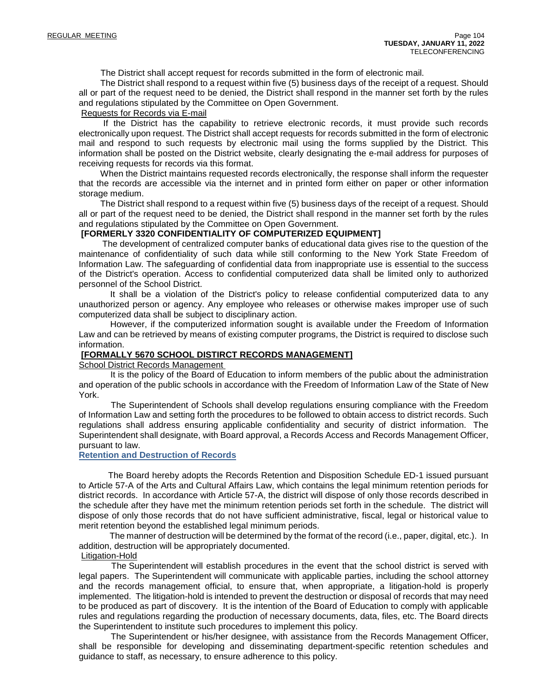The District shall accept request for records submitted in the form of electronic mail.

 The District shall respond to a request within five (5) business days of the receipt of a request. Should all or part of the request need to be denied, the District shall respond in the manner set forth by the rules and regulations stipulated by the Committee on Open Government.

#### Requests for Records via E-mail

 If the District has the capability to retrieve electronic records, it must provide such records electronically upon request. The District shall accept requests for records submitted in the form of electronic mail and respond to such requests by electronic mail using the forms supplied by the District. This information shall be posted on the District website, clearly designating the e-mail address for purposes of receiving requests for records via this format.

 When the District maintains requested records electronically, the response shall inform the requester that the records are accessible via the internet and in printed form either on paper or other information storage medium.

 The District shall respond to a request within five (5) business days of the receipt of a request. Should all or part of the request need to be denied, the District shall respond in the manner set forth by the rules and regulations stipulated by the Committee on Open Government.

#### **[FORMERLY 3320 CONFIDENTIALITY OF COMPUTERIZED EQUIPMENT]**

The development of centralized computer banks of educational data gives rise to the question of the maintenance of confidentiality of such data while still conforming to the New York State Freedom of Information Law. The safeguarding of confidential data from inappropriate use is essential to the success of the District's operation. Access to confidential computerized data shall be limited only to authorized personnel of the School District.

It shall be a violation of the District's policy to release confidential computerized data to any unauthorized person or agency. Any employee who releases or otherwise makes improper use of such computerized data shall be subject to disciplinary action.

However, if the computerized information sought is available under the Freedom of Information Law and can be retrieved by means of existing computer programs, the District is required to disclose such information.

#### **[FORMALLY 5670 SCHOOL DISTIRCT RECORDS MANAGEMENT]**

School District Records Management

 It is the policy of the Board of Education to inform members of the public about the administration and operation of the public schools in accordance with the Freedom of Information Law of the State of New York.

 The Superintendent of Schools shall develop regulations ensuring compliance with the Freedom of Information Law and setting forth the procedures to be followed to obtain access to district records. Such regulations shall address ensuring applicable confidentiality and security of district information. The Superintendent shall designate, with Board approval, a Records Access and Records Management Officer, pursuant to law.

#### **Retention and Destruction of Records**

 The Board hereby adopts the Records Retention and Disposition Schedule ED-1 issued pursuant to Article 57-A of the Arts and Cultural Affairs Law, which contains the legal minimum retention periods for district records. In accordance with Article 57-A, the district will dispose of only those records described in the schedule after they have met the minimum retention periods set forth in the schedule. The district will dispose of only those records that do not have sufficient administrative, fiscal, legal or historical value to merit retention beyond the established legal minimum periods.

 The manner of destruction will be determined by the format of the record (i.e., paper, digital, etc.). In addition, destruction will be appropriately documented.

#### Litigation-Hold

 The Superintendent will establish procedures in the event that the school district is served with legal papers. The Superintendent will communicate with applicable parties, including the school attorney and the records management official, to ensure that, when appropriate, a litigation-hold is properly implemented. The litigation-hold is intended to prevent the destruction or disposal of records that may need to be produced as part of discovery. It is the intention of the Board of Education to comply with applicable rules and regulations regarding the production of necessary documents, data, files, etc. The Board directs the Superintendent to institute such procedures to implement this policy.

 The Superintendent or his/her designee, with assistance from the Records Management Officer, shall be responsible for developing and disseminating department-specific retention schedules and guidance to staff, as necessary, to ensure adherence to this policy.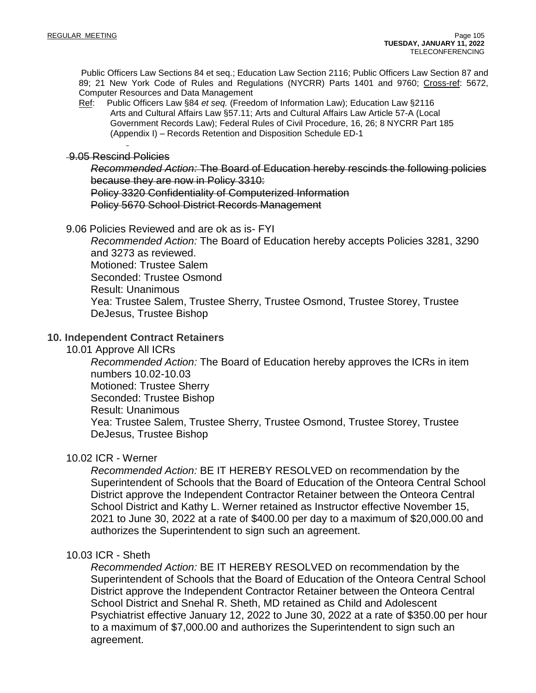Public Officers Law Sections 84 et seq.; Education Law Section 2116; Public Officers Law Section 87 and 89; 21 New York Code of Rules and Regulations (NYCRR) Parts 1401 and 9760; Cross-ref: 5672, Computer Resources and Data Management

Ref: Public Officers Law §84 *et seq.* (Freedom of Information Law); Education Law §2116 Arts and Cultural Affairs Law §57.11; Arts and Cultural Affairs Law Article 57-A (Local Government Records Law); Federal Rules of Civil Procedure, 16, 26; 8 NYCRR Part 185 (Appendix I) – Records Retention and Disposition Schedule ED-1

## 9.05 Rescind Policies

*Recommended Action:* The Board of Education hereby rescinds the following policies because they are now in Policy 3310: Policy 3320 Confidentiality of Computerized Information Policy 5670 School District Records Management

9.06 Policies Reviewed and are ok as is- FYI

*Recommended Action:* The Board of Education hereby accepts Policies 3281, 3290 and 3273 as reviewed. Motioned: Trustee Salem Seconded: Trustee Osmond Result: Unanimous Yea: Trustee Salem, Trustee Sherry, Trustee Osmond, Trustee Storey, Trustee DeJesus, Trustee Bishop

## **10. Independent Contract Retainers**

10.01 Approve All ICRs

*Recommended Action:* The Board of Education hereby approves the ICRs in item numbers 10.02-10.03 Motioned: Trustee Sherry Seconded: Trustee Bishop Result: Unanimous Yea: Trustee Salem, Trustee Sherry, Trustee Osmond, Trustee Storey, Trustee DeJesus, Trustee Bishop

## 10.02 ICR - Werner

*Recommended Action:* BE IT HEREBY RESOLVED on recommendation by the Superintendent of Schools that the Board of Education of the Onteora Central School District approve the Independent Contractor Retainer between the Onteora Central School District and Kathy L. Werner retained as Instructor effective November 15, 2021 to June 30, 2022 at a rate of \$400.00 per day to a maximum of \$20,000.00 and authorizes the Superintendent to sign such an agreement.

## 10.03 ICR - Sheth

*Recommended Action:* BE IT HEREBY RESOLVED on recommendation by the Superintendent of Schools that the Board of Education of the Onteora Central School District approve the Independent Contractor Retainer between the Onteora Central School District and Snehal R. Sheth, MD retained as Child and Adolescent Psychiatrist effective January 12, 2022 to June 30, 2022 at a rate of \$350.00 per hour to a maximum of \$7,000.00 and authorizes the Superintendent to sign such an agreement.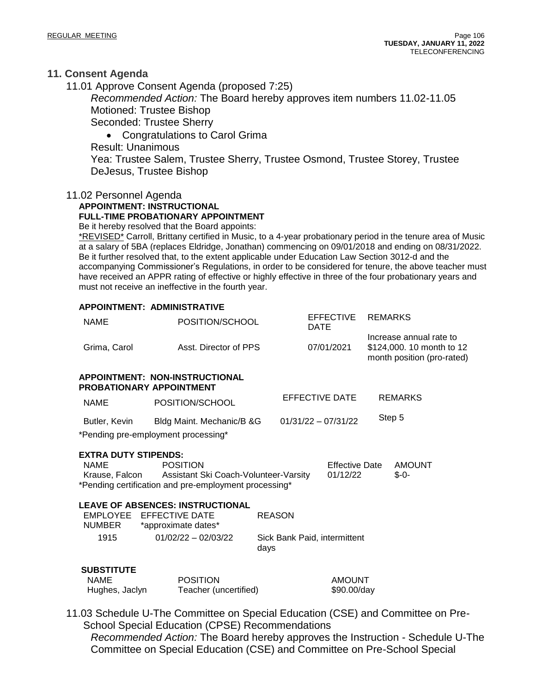## **11. Consent Agenda**

11.01 Approve Consent Agenda (proposed 7:25)

*Recommended Action:* The Board hereby approves item numbers 11.02-11.05 Motioned: Trustee Bishop

Seconded: Trustee Sherry

• Congratulations to Carol Grima

Result: Unanimous

Yea: Trustee Salem, Trustee Sherry, Trustee Osmond, Trustee Storey, Trustee DeJesus, Trustee Bishop

## 11.02 Personnel Agenda

**APPOINTMENT: INSTRUCTIONAL FULL-TIME PROBATIONARY APPOINTMENT**

Be it hereby resolved that the Board appoints:

\*REVISED\* Carroll, Brittany certified in Music, to a 4-year probationary period in the tenure area of Music at a salary of 5BA (replaces Eldridge, Jonathan) commencing on 09/01/2018 and ending on 08/31/2022. Be it further resolved that, to the extent applicable under Education Law Section 3012-d and the accompanying Commissioner's Regulations, in order to be considered for tenure, the above teacher must have received an APPR rating of effective or highly effective in three of the four probationary years and must not receive an ineffective in the fourth year.

#### **APPOINTMENT: ADMINISTRATIVE**

| <b>NAME</b>                                                  | POSITION/SCHOOL                                                                                                   |               | <b>EFFECTIVE</b><br>DATE          | <b>REMARKS</b> |                                                                                    |  |
|--------------------------------------------------------------|-------------------------------------------------------------------------------------------------------------------|---------------|-----------------------------------|----------------|------------------------------------------------------------------------------------|--|
| Grima, Carol                                                 | Asst. Director of PPS                                                                                             |               | 07/01/2021                        |                | Increase annual rate to<br>\$124,000. 10 month to 12<br>month position (pro-rated) |  |
|                                                              | <b>APPOINTMENT: NON-INSTRUCTIONAL</b><br><b>PROBATIONARY APPOINTMENT</b>                                          |               |                                   |                |                                                                                    |  |
| <b>NAME</b>                                                  | POSITION/SCHOOL                                                                                                   |               | EFFECTIVE DATE                    |                | <b>REMARKS</b>                                                                     |  |
| Butler, Kevin                                                | Bldg Maint. Mechanic/B &G                                                                                         |               | $01/31/22 - 07/31/22$             | Step 5         |                                                                                    |  |
|                                                              | *Pending pre-employment processing*                                                                               |               |                                   |                |                                                                                    |  |
| <b>EXTRA DUTY STIPENDS:</b><br><b>NAME</b><br>Krause, Falcon | <b>POSITION</b><br>Assistant Ski Coach-Volunteer-Varsity<br>*Pending certification and pre-employment processing* |               | <b>Effective Date</b><br>01/12/22 |                | AMOUNT<br>$S - O -$                                                                |  |
| NUMBER                                                       | <b>LEAVE OF ABSENCES: INSTRUCTIONAL</b><br>EMPLOYEE EFFECTIVE DATE<br>*approximate dates*                         | <b>REASON</b> |                                   |                |                                                                                    |  |
| 1915                                                         | $01/02/22 - 02/03/22$                                                                                             | days          | Sick Bank Paid, intermittent      |                |                                                                                    |  |
| <b>SUBSTITUTE</b>                                            |                                                                                                                   |               |                                   |                |                                                                                    |  |
| <b>NAME</b>                                                  | <b>POSITION</b>                                                                                                   |               | <b>AMOUNT</b>                     |                |                                                                                    |  |
| Hughes, Jaclyn                                               | Teacher (uncertified)                                                                                             |               | \$90.00/day                       |                |                                                                                    |  |

11.03 Schedule U-The Committee on Special Education (CSE) and Committee on Pre-School Special Education (CPSE) Recommendations

*Recommended Action:* The Board hereby approves the Instruction - Schedule U-The Committee on Special Education (CSE) and Committee on Pre-School Special